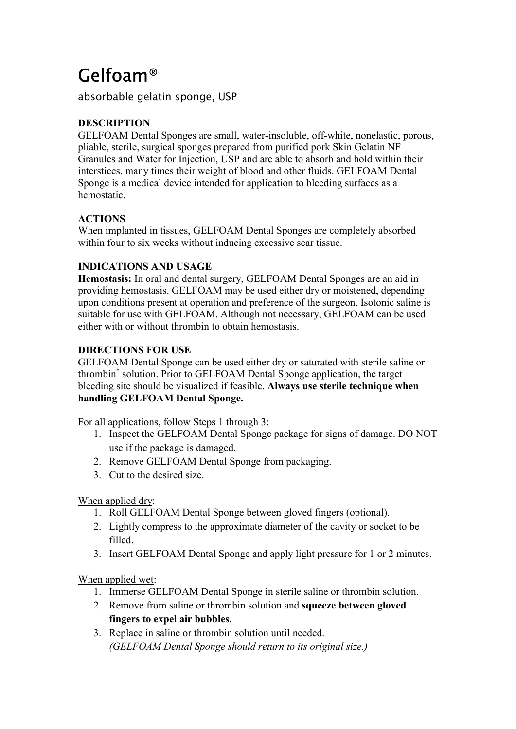# Gelfoam®

absorbable gelatin sponge, USP

# **DESCRIPTION**

GELFOAM Dental Sponges are small, water-insoluble, off-white, nonelastic, porous, pliable, sterile, surgical sponges prepared from purified pork Skin Gelatin NF Granules and Water for Injection, USP and are able to absorb and hold within their interstices, many times their weight of blood and other fluids. GELFOAM Dental Sponge is a medical device intended for application to bleeding surfaces as a hemostatic.

# **ACTIONS**

When implanted in tissues, GELFOAM Dental Sponges are completely absorbed within four to six weeks without inducing excessive scar tissue.

# **INDICATIONS AND USAGE**

**Hemostasis:** In oral and dental surgery, GELFOAM Dental Sponges are an aid in providing hemostasis. GELFOAM may be used either dry or moistened, depending upon conditions present at operation and preference of the surgeon. Isotonic saline is suitable for use with GELFOAM. Although not necessary, GELFOAM can be used either with or without thrombin to obtain hemostasis.

## **DIRECTIONS FOR USE**

GELFOAM Dental Sponge can be used either dry or saturated with sterile saline or thrombin\* solution. Prior to GELFOAM Dental Sponge application, the target bleeding site should be visualized if feasible. **Always use sterile technique when handling GELFOAM Dental Sponge.**

For all applications, follow Steps 1 through 3:

- 1. Inspect the GELFOAM Dental Sponge package for signs of damage. DO NOT use if the package is damaged.
- 2. Remove GELFOAM Dental Sponge from packaging.
- 3. Cut to the desired size.

# When applied dry:

- 1. Roll GELFOAM Dental Sponge between gloved fingers (optional).
- 2. Lightly compress to the approximate diameter of the cavity or socket to be filled.
- 3. Insert GELFOAM Dental Sponge and apply light pressure for 1 or 2 minutes.

When applied wet:

- 1. Immerse GELFOAM Dental Sponge in sterile saline or thrombin solution.
- 2. Remove from saline or thrombin solution and **squeeze between gloved fingers to expel air bubbles.**
- 3. Replace in saline or thrombin solution until needed. *(GELFOAM Dental Sponge should return to its original size.)*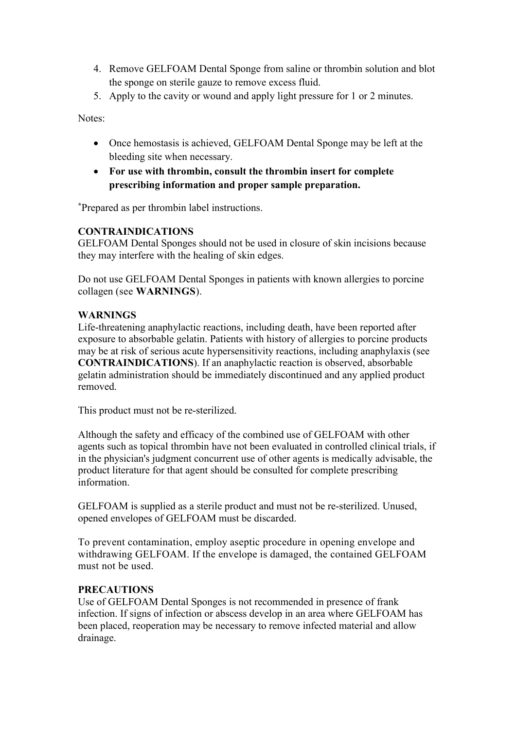- 4. Remove GELFOAM Dental Sponge from saline or thrombin solution and blot the sponge on sterile gauze to remove excess fluid.
- 5. Apply to the cavity or wound and apply light pressure for 1 or 2 minutes.

Notes:

- Once hemostasis is achieved, GELFOAM Dental Sponge may be left at the bleeding site when necessary.
- **For use with thrombin, consult the thrombin insert for complete prescribing information and proper sample preparation.**

**\***Prepared as per thrombin label instructions.

#### **CONTRAINDICATIONS**

GELFOAM Dental Sponges should not be used in closure of skin incisions because they may interfere with the healing of skin edges.

Do not use GELFOAM Dental Sponges in patients with known allergies to porcine collagen (see **WARNINGS**).

## **WARNINGS**

Life-threatening anaphylactic reactions, including death, have been reported after exposure to absorbable gelatin. Patients with history of allergies to porcine products may be at risk of serious acute hypersensitivity reactions, including anaphylaxis (see **CONTRAINDICATIONS**). If an anaphylactic reaction is observed, absorbable gelatin administration should be immediately discontinued and any applied product removed.

This product must not be re-sterilized.

Although the safety and efficacy of the combined use of GELFOAM with other agents such as topical thrombin have not been evaluated in controlled clinical trials, if in the physician's judgment concurrent use of other agents is medically advisable, the product literature for that agent should be consulted for complete prescribing information.

GELFOAM is supplied as a sterile product and must not be re-sterilized. Unused, opened envelopes of GELFOAM must be discarded.

To prevent contamination, employ aseptic procedure in opening envelope and withdrawing GELFOAM. If the envelope is damaged, the contained GELFOAM must not be used.

## **PRECAUTIONS**

Use of GELFOAM Dental Sponges is not recommended in presence of frank infection. If signs of infection or abscess develop in an area where GELFOAM has been placed, reoperation may be necessary to remove infected material and allow drainage.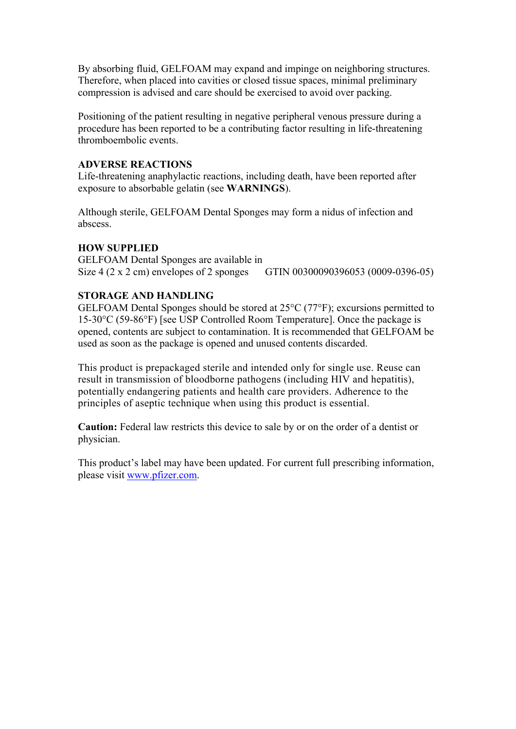By absorbing fluid, GELFOAM may expand and impinge on neighboring structures. Therefore, when placed into cavities or closed tissue spaces, minimal preliminary compression is advised and care should be exercised to avoid over packing.

Positioning of the patient resulting in negative peripheral venous pressure during a procedure has been reported to be a contributing factor resulting in life-threatening thromboembolic events.

#### **ADVERSE REACTIONS**

Life-threatening anaphylactic reactions, including death, have been reported after exposure to absorbable gelatin (see **WARNINGS**).

Although sterile, GELFOAM Dental Sponges may form a nidus of infection and abscess.

## **HOW SUPPLIED**

GELFOAM Dental Sponges are available in Size 4 (2 x 2 cm) envelopes of 2 sponges GTIN 00300090396053 (0009-0396-05)

## **STORAGE AND HANDLING**

GELFOAM Dental Sponges should be stored at 25°C (77°F); excursions permitted to 15-30°C (59-86°F) [see USP Controlled Room Temperature]. Once the package is opened, contents are subject to contamination. It is recommended that GELFOAM be used as soon as the package is opened and unused contents discarded.

This product is prepackaged sterile and intended only for single use. Reuse can result in transmission of bloodborne pathogens (including HIV and hepatitis), potentially endangering patients and health care providers. Adherence to the principles of aseptic technique when using this product is essential.

**Caution:** Federal law restricts this device to sale by or on the order of a dentist or physician.

This product's label may have been updated. For current full prescribing information, please visit [www.pfizer.com](http://www.pfizer.com/).